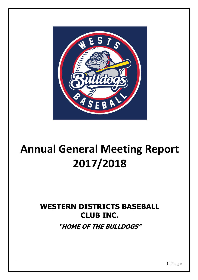

# Annual General Meeting Report 2017/2018

## WESTERN DISTRICTS BASEBALL CLUB INC.

"HOME OF THE BULLDOGS"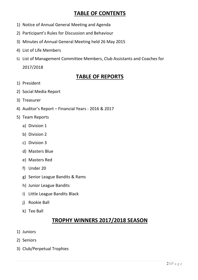### TABLE OF CONTENTS

- 1) Notice of Annual General Meeting and Agenda
- 2) Participant's Rules for Discussion and Behaviour
- 3) Minutes of Annual General Meeting held 26 May 2015
- 4) List of Life Members
- 5) List of Management Committee Members, Club Assistants and Coaches for 2017/2018

### TABLE OF REPORTS

- 1) President
- 2) Social Media Report
- 3) Treasurer
- 4) Auditor's Report Financial Years 2016 & 2017
- 5) Team Reports
	- a) Division 1
	- b) Division 2
	- c) Division 3
	- d) Masters Blue
	- e) Masters Red
	- f) Under 20
	- g) Senior League Bandits & Rams
	- h) Junior League Bandits
	- i) Little League Bandits Black
	- j) Rookie Ball
	- k) Tee Ball

### TROPHY WINNERS 2017/2018 SEASON

- 1) Juniors
- 2) Seniors
- 3) Club/Perpetual Trophies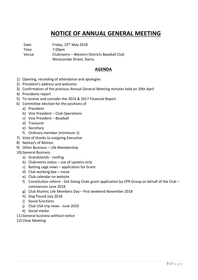### NOTICE OF ANNUAL GENERAL MEETING

Date Friday, 25<sup>th</sup> May 2018

Time 7.00pm Venue Clubrooms – Western Districts Baseball Club Westcombe Street, Darra.

### AGENDA

- 1) Opening, recording of attendance and apologies
- 2) President's address and welcome
- 3) Confirmation of the previous Annual General Meeting minutes held on 20th April
- 4) Presidents report
- 5) To receive and consider the 2016 & 2017 Financial Report
- 6) Committee election for the positions of
	- a) President
	- b) Vice President Club Operations
	- c) Vice President Baseball
	- d) Treasurer
	- e) Secretary
	- f) Ordinary member (minimum 1)
- 7) Vote of thanks to outgoing Executive
- 8) Notice/s of Motion
- 9) Other Business Life Membership
- 10) General Business
	- a) Grandstands roofing
	- b) Clubrooms status use of upstairs only
	- c) Batting cage news application for Grant
	- d) Club working bee move
	- e) Club calendar on website
	- f) Constitution reform Get Going Clubs grant application by CPR Group on behalf of the Club commences June 2018
	- g) Club Alumni; Life Members Day first weekend November 2018
	- h) Dog Pound July 2018
	- i) Social functions
	- j) Club USA trip news June 2019
	- k) Social media
- 11) General business without notice
- 12) Close Meeting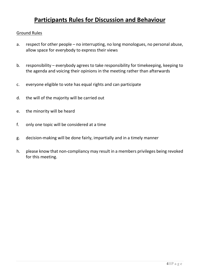### Participants Rules for Discussion and Behaviour

### Ground Rules

- a. respect for other people no interrupting, no long monologues, no personal abuse, allow space for everybody to express their views
- b. responsibility everybody agrees to take responsibility for timekeeping, keeping to the agenda and voicing their opinions in the meeting rather than afterwards
- c. everyone eligible to vote has equal rights and can participate
- d. the will of the majority will be carried out
- e. the minority will be heard
- f. only one topic will be considered at a time
- g. decision-making will be done fairly, impartially and in a timely manner
- h. please know that non-compliancy may result in a members privileges being revoked for this meeting.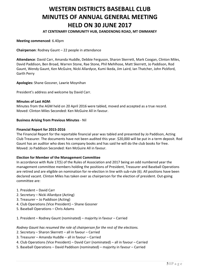### WESTERN DISTRICTS BASEBALL CLUB MINUTES OF ANNUAL GENERAL MEETING HELD ON 30 JUNE 2017

### AT CENTENARY COMMUNITY HUB, DANDENONG ROAD, MT OMMANEY

#### Meeting commenced: 6.40pm

Chairperson: Rodney Gaunt – 22 people in attendance

Attendance: David Carr, Amanda Huddle, Debbie Ferguson, Sharon Skerrett, Mark Coogan, Clinton Miles, David Paddison, Ben Broad, Warren Stone, Rae Stone, Phil Mehlhose, Matt Skerrett, Jo Paddison, Rod Gaunt, Wendy Gaunt, Ken McGuire, Nicki Allardyce, Kumi Ikeda, Jim Laird, Ian Thatcher, John Pickford, Garth Perry

Apologies: Shane Gossner, Lawrie Moynihan

President's address and welcome by David Carr.

#### Minutes of Last AGM:

Minutes from the AGM held on 20 April 2016 were tabled, moved and accepted as a true record. Moved: Clinton Miles Seconded: Ken McGuire All in favour.

#### Business Arising from Previous Minutes - Nil

#### Financial Report for 2015-2016

The Financial Report for the reportable financial year was tabled and presented by Jo Paddison, Acting Club Treasurer. The documents have not been audited this year. \$20,000 will be put in a term deposit. Rod Gaunt has an auditor who does his company books and has said he will do the club books for free. Moved: Jo Paddison Seconded: Ken McGuire All in favour.

#### Election for Member of the Management Committee

In accordance with Rule 17(5) of the Rules of Association and 2017 being an odd numbered year the management committee members holding the positions of President, Treasurer and Baseball Operations are retired and are eligible on nomination for re-election in line with sub-rule (6). All positions have been declared vacant. Clinton Miles has taken over as chairperson for the election of president. Out-going committee are:

- 1. President David Carr
- 2. Secretary Nicki Allardyce (Acting)
- 3. Treasurer Jo Paddison (Acting)
- 4. Club Operations (Vice President) Shane Gossner
- 5. Baseball Operations Chris Adams

1. President – Rodney Gaunt (nominated) – majority in favour – Carried

Rodney Gaunt has resumed the role of chairperson for the rest of the elections.

- 2. Secretary Sharon Skerrett all in favour Carried
- 3. Treasurer Amanda Huddle all in favour Carried
- 4. Club Operations (Vice President) David Carr (nominated) all in favour Carried
- 5. Baseball Operations David Paddison (nominated) majority in favour Carried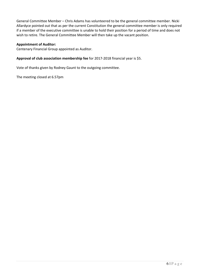General Committee Member – Chris Adams has volunteered to be the general committee member. Nicki Allardyce pointed out that as per the current Constitution the general committee member is only required if a member of the executive committee is unable to hold their position for a period of time and does not wish to retire. The General Committee Member will then take up the vacant position.

### Appointment of Auditor:

Centenary Financial Group appointed as Auditor.

### Approval of club association membership fee for 2017-2018 financial year is \$5.

Vote of thanks given by Rodney Gaunt to the outgoing committee.

The meeting closed at 6.57pm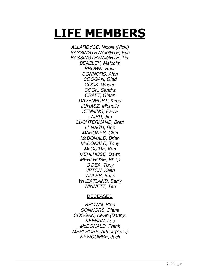# LIFE MEMBERS

ALLARDYCE, Nicola (Nicki) BASSINGTHWAIGHTE, Eric BASSINGTHWAIGHTE, Tim BEAZLEY, Malcolm BROWN, Ross CONNORS, Alan COOGAN, Glad COOK, Wayne COOK, Sandra CRAFT, Glenn DAVENPORT, Kerry JUHASZ, Michelle KENNING, Paula LAIRD, Jim LUCHTERHAND, Brett LYNAGH, Ron MAHONEY, Glen McDONALD, Brian McDONALD, Tony McGUIRE, Ken MEHLHOSE, Dawn MEHLHOSE, Philip O'DEA, Tony UPTON, Keith VIDLER, Brian WHEATLAND, Barry WINNETT, Ted

### DECEASED

BROWN, Stan CONNORS, Diana COOGAN, Kevin (Danny) KEENAN, Les McDONALD, Frank MEHLHOSE, Arthur (Artie) NEWCOMBE, Jack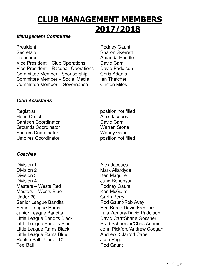# CLUB MANAGEMENT MEMBERS 2017/2018

### **Management Committee**

President **Rodney Gaunt** Secretary Sharon Skerrett Treasurer **Amanda Huddle** Vice President – Club Operations David Carr Vice President – Baseball Operations David Paddison Committee Member - Sponsorship Chris Adams Committee Member – Social Media Ian Thatcher Committee Member – Governance Clinton Miles

### **Club Assistants**

Registrar **Registrar** position not filled<br>
Head Coach **Registration** Canteen Coordinator **David Carr** Grounds Coordinator **Marren Stone**<br>
Scorers Coordinator **Marren Wendy Gaunt Scorers Coordinator** Umpires Coordinator **provides** position not filled

### **Coaches**

- Division 1 and 1 Alex Jacques Division 2 Mark Allardyce Division 3 Ken Maguire Division 4 Jung Bonghyun Masters – Wests Red **Rodney Gaunt** Masters – Wests Blue Ken McGuire Under 20 Garth Perry Senior League Bandits **Rod Gaunt/Rob Avey** Senior League Rams Ben Broad/David Fredline Little League Rams Blue **Andrew & Jarrod Cane** Rookie Ball - Under 10 Josh Page Tee-Ball Rod Gaunt
- Alex Jacques

Junior League Bandits **Luis Zamora/David Paddison** Little League Bandits Black David Carr/Shane Gossner Little League Bandits Blue **Brad Schneider/Chris Adams** Little League Rams Black John Pickford/Andrew Coogan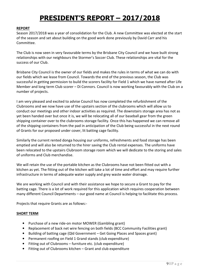### PRESIDENT'S REPORT – 2017/2018

#### REPORT

Season 2017/2018 was a year of consolidation for the Club. A new Committee was elected at the start of the season and set about building on the good work done previously by David Carr and his Committee.

The Club is now seen in very favourable terms by the Brisbane City Council and we have built strong relationships with our neighbours the Stormer's Soccer Club. These relationships are vital for the success of our Club.

Brisbane City Council is the owner of our fields and makes the rules in terms of what we can do with our fields which we lease from Council. Towards the end of the previous season, the Club was successful in getting permission to build the scorers facility for Field 1 which we have named after Life Member and long term Club scorer – Di Connors. Council is now working favourably with the Club on a number of projects.

I am very pleased and excited to advise Council has now completed the refurbishment of the Clubrooms and we now have use of the upstairs section of the clubrooms which will allow us to conduct our meetings and other indoor activities as required. The downstairs storage area has not as yet been handed over but once it is, we will be relocating all of our baseball gear from the green shipping container over to the clubrooms storage facility. Once this has happened we can remove all of the shipping containers from the pad in anticipation of the Club being successful in the next round of Grants for our proposed under cover, lit batting cage facility.

Similarly the current rented donga housing our uniforms, refreshments and food storage has been emptied and will also be returned to the hirer saving the Club rental expenses. The uniforms have been relocated to the upstairs Clubroom storage room which we will dedicate to the storing and sales of uniforms and Club merchandise.

We will retain the use of the portable kitchen as the Clubrooms have not been fitted out with a kitchen as yet. The fitting out of the kitchen will take a lot of time and effort and may require further infrastructure in terms of adequate water supply and grey waste water drainage.

We are working with Council and with their assistance we hope to secure a Grant to pay for the batting cage. There is a lot of work required for this application which requires cooperation between many different Council Departments – our good name at Council is helping to facilitate this process.

Projects that require Grants are as follows:-

#### SHORT TERM

- Purchase of a new ride-on motor MOWER (Gambling grant)
- Replacement of back net wire fencing on both fields (BCC Community Facilities grant)
- Building of batting cage (Qld Government Get Going Places and Spaces grant)
- Permanent roofing on Field 1 Grand stands (club expenditure)
- Fitting out of Clubrooms furniture etc. (club expenditure)
- Fitting out of Clubrooms kitchen Grant and club expenditure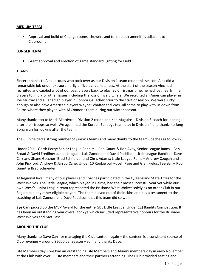### MEDIUM TERM

• Approval and build of Change rooms, showers and toilet block amenities adjacent to Clubrooms

### LONGER TERM

• Grant approval and erection of game standard lighting for Field 1.

#### TEAMS

Sincere thanks to Alex Jacques who took over as our Division 1 team coach this season. Alex did a remarkable job under extraordinarily difficult circumstances. At the start of the season Alex had recruited and cajoled a lot of our past players back to play. By Christmas time, he had lost nearly nine players to injury or other issues including the loss of five pitchers. We recruited an American player in Joe Murray and a Canadian player in Connor Gallacher prior to the start of season. We were lucky enough to also have American players Wayne Schaffer and Wes Hill come to play with us down from Cairns where they played with Al Connor's team during our winter season.

Many thanks too to Mark Allardyce – Division 2 coach and Ken Maguire – Division 3 coach for looking after their troops so well. We again had the Korean Bulldogs team play in Division 4 and thanks to Jung Bonghyun for looking after the team.

The Club fielded a strong number of junior's teams and many thanks to the team Coaches as follows:-

Under 20's – Garth Perry; Senior League Bandits – Rod Gaunt & Rob Avey; Senior League Rams – Ben Broad & David Fredline: Junior League – Luis Zamora and David Paddison: Little League Bandits – Dave Carr and Shane Gossner; Brad Schneider and Chris Adams; Little League Rams – Andrew Coogan and John Pickford; Andrew & Jarrod Cane: Under 10 Rookie ball – Josh Page and Glen Fields: Tee Ball – Rod Gaunt & Brad Schneider.

At Regional level, many of our players and Coaches participated in the Queensland State Titles for the West Wolves. The Little League, which played in Cairns, had their most successful year yet while our own West's Junior League team represented the Brisbane West Wolves solely as no other Club in our Region had any other eligible players. The team played out of their skins and it is a testament to the coaching of Luis Zamora and Dave Paddison that this team did so well.

Zye Carr picked up the MVP Award for the entire GBL Little League (Under 12) Bandits Competition. It has been an outstanding year overall for Zye which included representative honours for the Brisbane West Wolves and Met East.

#### AROUND THE CLUB

Many thanks to Dave Carr for managing the Club canteen again – the canteen is a consistent source of Club revenue – around \$5000 per season – so many thanks Dave.

Life Members day – we had an outstanding Life Members and Alumni members day in early November at the Club with over 50 Life members and their partners attending. The Club provided seating and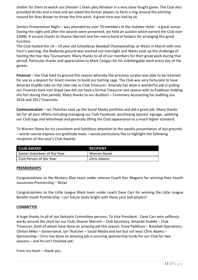shelter for them to watch our Division 1 team play Windsor in a very close fought game. The Club also provided drinks and a meal and we asked the former players to form a ring around the pitching mound for Ross Brown to throw the first pitch. A great time was had by all.

Seniors Presentation Night – was attended by over 70 members at the Jindalee Hotel – a great venue. During the night and after the awards were presented, we held an auction which earned the Club over \$3000. A sincere thanks to Sharon Skerrett and her merry band of helpers for arranging this great function.

The Club hosted the 14 – 19 year old Schoolboys Baseball Championships at Wests in March with one hour's warning; the Redlands ground was washed out overnight and Wests took up the challenge of hosting the four day Tournament. Many thanks to all of our members for their great work during that period. Particular thanks and appreciation to Mark Coogan for his indefatigable work every day of the games.

Finances – the Club held its ground this season whereby the previous surplus was able to be retained for use as a deposit for Grant monies to build our batting cage. The Club was very fortunate to have Amanda Huddle take on the vital role as Club Treasurer. Amanda has done a wonderful job in pulling our Finances back into shape (we did not have a formal Treasurer last season with Jo Paddison holding the fort during that period). Many thanks to our Auditors – Centenary Accounting for auditing our 2016 and 2017 Financials.

Communication – Ian Thatcher took up the Social Media portfolio and did a great job. Many thanks Ian for all your efforts including managing our Club Facebook, purchasing sponsor signage, updating our Club logo and letterhead and generally lifting the Club appearance to a much higher standard.

To Warren Stone for his consistent and fastidious attention to the weekly presentation of our grounds – words cannot express our gratitude mate. I would particularly like to highlight the following recipients of this year's Club Awards.

| <b>CLUB AWARD</b>            | <b>RECIPIENT</b> |
|------------------------------|------------------|
| Senior Volunteer of the Year | Warren Stone     |
| Club Person of the Year      | Chris Adams      |

#### PREMIERSHIPS

Congratulations to the Masters Blue team under veteran Coach Ken Maguire for winning their fourth successive Premiership – Wow!

Congratulations to the Little League Black team under coach Dave Carr for winning the Little League Bandits South Premiership – our future looks bright with these your ball players!

#### **COMMITTEE**

A huge thanks to all of our fantastic Committee persons. To Vice President - Dave Carr who selflessly works around the clock for our Club; Sharon Skerrett – Club Secretary; Amanda Huddle – Club Treasurer; both of whom have done an amazing job this season; Dave Paddison – Baseball Operations; Clinton Miles – Governance; Ian Thatcher – Social Media and last but not least Chris Adams – Sponsorship – Chris has done an amazing job is securing sponsorship funds for our Club for two seasons – and his isn't finished yet!

From my heart – thank you.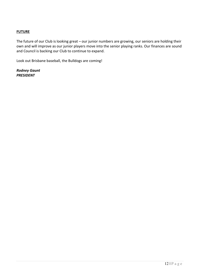### **FUTURE**

The future of our Club is looking great – our junior numbers are growing, our seniors are holding their own and will improve as our junior players move into the senior playing ranks. Our finances are sound and Council is backing our Club to continue to expand.

Look out Brisbane baseball, the Bulldogs are coming!

Rodney Gaunt PRESIDENT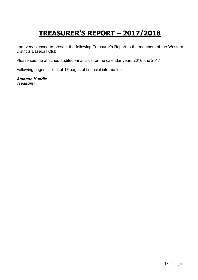## TREASURER'S REPORT – 2017/2018

I am very pleased to present the following Treasurer's Report to the members of the Western Districts Baseball Club.

Please see the attached audited Financials for the calendar years 2016 and 2017

Following pages – Total of 17 pages of financial information

**Amanda Huddle Treasurer**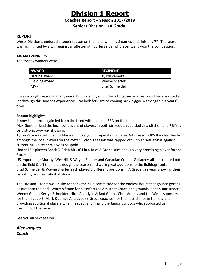### Division 1 Report

Coaches Report – Season 2017/2018

Seniors Division 1 (A Grade)

### REPORT

Wests Division 1 endured a tough season on the field, winning 5 games and finishing  $7<sup>th</sup>$ . The season was highlighted by a win against a full-strength Surfers side, who eventually won the competition.

### AWARD WINNERS

The trophy winners were

| <b>AWARD</b>   | <b>RECIPIENT</b>      |
|----------------|-----------------------|
| Batting award  | Tyson Zamora          |
| Fielding award | Wayne Shaffer         |
| <b>MVP</b>     | <b>Brad Schneider</b> |

It was a tough season in many ways, but we enjoyed our time together as a team and have learned a lot through this seasons experiences. We look forward to coming back bigger & stronger in a years' time.

### Season highlights:

Jimmy Laird once again led from the front with the best ERA on the team.

Max Gunther lead the local contingent of players in both strikeouts recorded as a pitcher, and RBI's, a very strong two-way showing.

Tyson Zamora continued to blossom into a young superstar, with his .845 season OPS the clear leader amongst the local players on the roster. Tyson's season was capped off with an ABL at-bat against current MLB pitcher Warwick Saupold.

Under 16's players Brock O'Brien hit .364 in a brief A Grade stint and is a very promising player for the future.

US imports Joe Murray, Wes Hill & Wayne Shaffer and Canadian Connor Gallacher all contributed both on the field & off the field through the season and were great additions to the Bulldogs ranks. Brad Schneider & Wayne Shaffer each played 5 different positions in A Grade this year, showing their versatility and team-first attitude.

The Division 1 team would like to thank the club committee for the endless hours that go into getting us out onto the park, Warren Stone for his efforts as Assistant Coach and groundskeeper, our scorers Wendy Gaunt, Kerryn Schneider, Nicki Allardyce & Rod Gaunt, Chris Adams and the Wests sponsors for their support, Mark & James Allardyce (B Grade coaches) for their assistance in training and providing additional players when needed, and finally the Junior Bulldogs who supported us throughout the season.

See you all next season

Alex Jacques Coach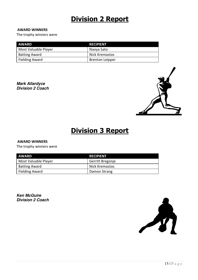### Division 2 Report

#### AWARD WINNERS

The trophy winners were

| AWARD                 | <b>RECIPIENT</b>       |
|-----------------------|------------------------|
| Most Valuable Player  | Naoya Sato             |
| <b>Batting Award</b>  | Nick Kremastos         |
| <b>Fielding Award</b> | <b>Brenton Leipper</b> |

**Mark Allardyce Division 2 Coach** 



### Division 3 Report

### AWARD WINNERS

The trophy winners were

| <b>AWARD</b>         | <b>RECIPIENT</b> |
|----------------------|------------------|
| Most Valuable Player | Gerritt Bregonje |
| <b>Batting Award</b> | Nick Kremastos   |
| Fielding Award       | Damon Strang     |

**Ken McGuire Division 2 Coach** 

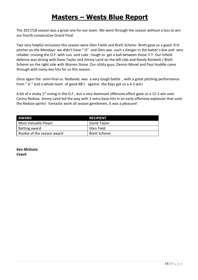### Masters – Wests Blue Report

The 2017/18 season was a great one for our team. We went through the season without a loss to win our fourth consecutive Grand Final.

Two very helpful inclusions this season were Glen Fields and Brett Scherer. Brett gave us a good R.H. pitcher on the Mondays we didn't have " G" and Glen was such a danger in the batter's box and very reliable cruising the O.F. with Luis and Luke , tough to get a ball between those 3 !! Our infield defence was strong with Dave Taylor and Jimmy Laird on the left side and Randy Rainbolt / Brett Scherer on the right side with Warren Stone. Our utility guys, Dennis Monel and Paul Huddle came through with many key hits for us this season.

Once again the semi-final vs. Redlands was a very tough battle , with a great pitching performance from " G " and a whole team of good AB's against the Rays got us a 4-3 win!

A bit of a shaky  $1<sup>st</sup>$  inning in the G.F., but a very dominant offensive effort gave us a 12-2 win over Carina Redsox. Jimmy Laird led the way with 3 extra base hits in an early offensive explosion that sunk the Redsox spirits! Fantastic work all season gentlemen, it was a pleasure!

| AWARD                      | <b>RECIPIENT</b>     |
|----------------------------|----------------------|
| Most Valuable Player       | David Taylor         |
| Batting award              | Glen Field           |
| Rookie of the season award | <b>Brett Scherer</b> |

Ken McGuire **Coach**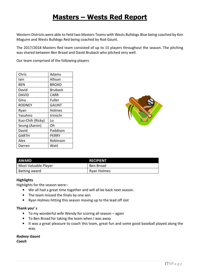### Masters – Wests Red Report

Western Districts were able to field two Masters Teams with Wests Bulldogs Blue being coached by Ken Maguire and Wests Bulldogs Red being coached by Rod Gaunt.

The 2017/2018 Masters Red team consisted of up to 15 players throughout the season. The pitching was shared between Ben Broad and David Bruback who pitched very well.

Our team comprised of the following players

| Chris            | Adams          |
|------------------|----------------|
| lain             | Allison        |
| BEN              | BROAD          |
| David            | <b>Bruback</b> |
| DAVID            | CARR           |
| Gina             | Fuller         |
| RODNEY           | <b>GAUNT</b>   |
| Ryan             | Holmes         |
| Yasuhiro         | Irimichi       |
| Kuo-Chih (Ricky) | Lo             |
| Seung (Aaron)    | Oh             |
| David            | Paddison       |
| GARTH            | PERRY          |
| Alex             | Robinson       |
| Darren           | Watt           |



| <b>AWARD</b>         | <b>RECIPIENT</b> |
|----------------------|------------------|
| Most Valuable Player | Ben Broad        |
| Batting award        | Ryan Holmes      |

### **Highlights**

Highlights for the season were:-

- We all had a great time together and will all be back next season.
- The team missed the finals by one win
- Ryan Holmes hitting this season moving up to the lead off slot

### Thank you' s

- To my wonderful wife Wendy for scoring all season again
- To Ben Broad for taking the team when I was away
- It was a great pleasure to coach this team, great fun and some good baseball played along the way.

Rodney Gaunt Coach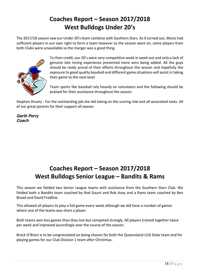### Coaches Report – Season 2017/2018 West Bulldogs Under 20's

The 2017/18 season saw our Under 20's team combine with Southern Stars. As it turned out, Wests had sufficient players in our own right to form a team however as the season went on, some players from both Clubs were unavailable so the merger was a good thing.



To their credit, our 20's were very competitive week in week out and only a lack of genuine late inning experience prevented more wins being added. All the guys should be really proud of their efforts throughout the season and hopefully the exposure to good quality baseball and different game situations will assist in taking their game to the next level.

Team sports like baseball rely heavily on volunteers and the following should be praised for their assistance throughout the season.

Stephen Druery - For the outstanding job she did taking on the scoring role and all associated tasks. All of our great parents for their support all season

**Garth Perry Coach** 

### Coaches Report – Season 2017/2018 West Bulldogs Senior League – Bandits & Rams

This season we fielded two Senior League teams with assistance from the Southern Stars Club. We fielded both a Bandits team coached by Rod Gaunt and Rob Avey and a Rams team coached by Ben Broad and David Fredline.

This allowed all players to play a full game every week although we did have a number of games where one of the teams was short a player.

Both teams won less games than they lost but competed strongly. All players trained together twice per week and improved accordingly over the course of the season.

Brock O'Brien is to be congratulated on being chosen for both the Queensland U16 State team and for playing games for our Club Division 1 team after Christmas.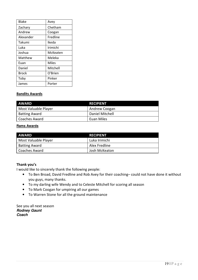| <b>Blake</b> | Avey     |
|--------------|----------|
| Zachary      | Chetham  |
| Andrew       | Coogan   |
| Alexander    | Fredline |
| Takumi       | Ikeda    |
| Luka         | Irimichi |
| Joshua       | McKeaten |
| Matthew      | Meleka   |
| Fuan         | Miles    |
| Daniel       | Mitchell |
| Brock        | O'Brien  |
| Toby         | Pinker   |
| James        | Porter   |

### Bandits Awards

| <b>AWARD</b>         | <b>RECIPIENT</b> |
|----------------------|------------------|
| Most Valuable Player | Andrew Coogan    |
| <b>Batting Award</b> | Daniel Mitchell  |
| Coaches Award        | Euan Miles       |

#### **Rams Awards**

| AWARD                | RECIPIENT       |
|----------------------|-----------------|
| Most Valuable Player | Luka Irimichi   |
| <b>Batting Award</b> | l Alex Fredline |
| Coaches Award        | Josh McKeaton   |

### Thank you's

I would like to sincerely thank the following people:

- To Ben Broad, David Fredline and Rob Avey for their coaching– could not have done it without you guys, many thanks.
- To my darling wife Wendy and to Celeste Mitchell for scoring all season
- To Mark Coogan for umpiring all our games
- To Warren Stone for all the ground maintenance

See you all next season **Rodney Gaunt Coach**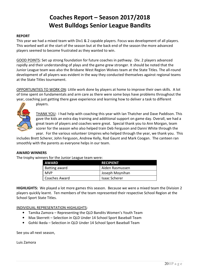### Coaches Report – Season 2017/2018 West Bulldogs Senior League Bandits

#### REPORT

This year we had a mixed team with Div1 & 2 capable players. Focus was development of all players. This worked well at the start of the season but at the back end of the season the more advanced players seemed to become frustrated as they wanted to win.

GOOD POINTS: Set up strong foundation for future coaches in pathway. Div. 2 players advanced rapidly and their understanding of plays and the game grew stronger. It should be noted that the Junior League team was also the Brisbane West Region Wolves team at the State Titles. The all-round development of all players was evident in the way they conducted themselves against regional teams at the State Titles tournament.

OPPORTUNITIES TO WORK ON: Little work done by players at home to improve their own skills. A lot of time spent on fundamentals and arm care as there were some boys have problems throughout the year, coaching just getting there gave experience and learning how to deliver a task to different



players.

THANK YOU: I had help with coaching this year with Ian Thatcher and Dave Paddison. This gave the kids an extra day training and additional support on game day. Overall, we had a great team of players and coaches were great. Special thank you to Ann Morgan, team scorer for the season who also helped train Deb Ferguson and Danni White through the year. For the various volunteer Umpires who helped through the year, we thank you. This

includes Brett Scherer, John Ferguson, Andrew Kelly, Rod Gaunt and Mark Coogan. The canteen ran smoothly with the parents as everyone helps in our team.

#### AWARD WINNERS

The trophy winners for the Junior League team were:

| <b>AWARD</b>  | <b>RECIPIENT</b>     |
|---------------|----------------------|
| Batting award | Aiden Rasmussen      |
| <b>MVP</b>    | Joseph Moynihan      |
| Coaches Award | <b>Isaac Scherer</b> |

HIGHLIGHTS: We played a lot more games this season. Because we were a mixed team the Division 2 players quickly learnt. Ten members of the team represented their respective School Region at the School Sport State Titles.

INDIVIDUAL REPRESENTATION HIGHLIGHTS:

- Tamika Zamora Representing the QLD Bandits Women's Youth Team
- Max Skerrett Selection in QLD Under 14 School Sport Baseball Team
- Gohki Ikeda Selection in QLD Under 14 School Sport Baseball Team

See you all next season,

Luis Zamora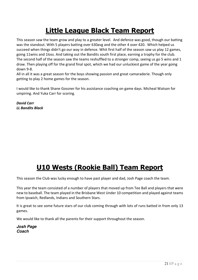### Little League Black Team Report

This season saw the team grow and play to a greater level. And defence was good, though our batting was the standout. With 5 players batting over 630avg and the other 4 over 420. Which helped us succeed when things didn't go our way in defence. Whit first half of the season saw us play 12 games, going 11wins and 1loss. And taking out the Bandits south first place, earning a trophy for the club. The second half of the season saw the teams reshuffled to a stronger comp, seeing us go 5 wins and 1 draw. Then playing off for the grand final spot, which we had our unluckiest game of the year going down 9-8.

All in all it was a great season for the boys showing passion and great camaraderie. Though only getting to play 2 home games for the season.

I would like to thank Shane Gossner for his assistance coaching on game days. Micheal Watson for umpiring. And Yuka Carr for scoring.

David Carr LL Bandits Black

### U10 Wests (Rookie Ball) Team Report

This season the Club was lucky enough to have past player and dad, Josh Page coach the team.

This year the team consisted of a number of players that moved up from Tee Ball and players that were new to baseball. The team played in the Brisbane West Under 10 competition and played against teams from Ipswich, Redlands, Indians and Southern Stars.

It is great to see some future stars of our club coming through with lots of runs batted in from only 13 games.

We would like to thank all the parents for their support throughout the season.

**Josh Page Coach**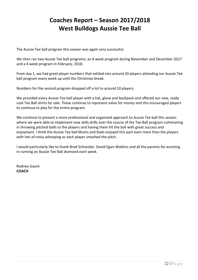### Coaches Report – Season 2017/2018 West Bulldogs Aussie Tee Ball

The Aussie Tee ball program this season was again very successful.

We then ran two Aussie Tee ball programs; an 8 week program during November and December 2017 and a 4 week program in February, 2018.

From day 1, we had great player numbers that settled into around 20 players attending our Aussie Tee ball program every week up until the Christmas break.

Numbers for the second program dropped off a lot to around 10 players.

We provided every Aussie Tee ball player with a hat, glove and backpack and offered our new, really cool Tee Ball shirts for sale. These continue to represent value for money and this encouraged players to continue to play for the entire program.

We continue to present a more professional and organized approach to Aussie Tee ball this season where we were able to implement new skills drills over the course of the Tee Ball program culminating in throwing pitched balls to the players and having them hit the ball with great success and enjoyment. I think the Aussie Tee ball Mums and Dads enjoyed this part even more than the players with lots of noisy whooping as each player smashed the pitch.

I would particularly like to thank Brad Schneider, David Egan-Watkins and all the parents for assisting in running an Aussie Tee Ball diamond each week.

Rodney Gaunt **COACH**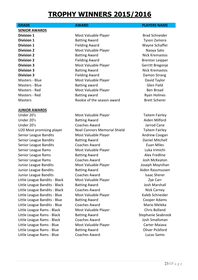### TROPHY WINNERS 2015/2016

SENIOR AWARDS

### JUNIOR AWARDS

Under 20's **Most Valuable Player** Taitem Fairley Container Under 20's Batting Award Aiden Milford Under 20's Coaches Award Jarrod Cane U20 Most promising player Noel Connors Memorial Shield Taitem Fairley Senior League Bandits Most Valuable Player Andrew Coogan Senior League Bandits **Batting Award** Bassets Bandits Bandits Batting Award **Daniel Mitchell** Senior League Bandits Coaches Award Euan Miles Senior League Rams **Most Valuable Player** Most Valuable Player **Luka Irimichi** Senior League Rams **Batting Award Batting Award** Alex Fredline Senior League Rams Coaches Award Josh McKeaton Junior League Bandits Most Valuable Player Joseph Moynihan Junior League Bandits **Batting Award** Batting Award **Aiden Rassmussen** Junior League Bandits **Coaches Award Coaches Award** Isaac Sherer Little League Bandits - Black Most Valuable Player Cannel Alle Carr Little League Bandits - Black Batting Award **Base Constructs** Josh Marshall Little League Bandits - Black Coaches Award Nick Carney Little League Bandits - Blue Most Valuable Player Manusculph Raleb Schneider Little League Bandits - Blue Batting Award Cooper Adams Little League Bandits - Blue Coaches Award Mario Mario Meleka Little League Rams - Black Most Valuable Player Chris Bolland Little League Rams - Black Batting Award Stephanie Seabrook Little League Rams - Black Coaches Award Coaches Award Josh Smallsman Little League Rams - Blue Most Valuable Player Carter Maiava Little League Rams - Blue Batting Award Cliver Pickford Little League Rams - Blue Coaches Award Lucas Samis

**Division 1** Most Valuable Player Brad Schneider **Division 1 Batting Award CONS CONS CONS CONS CONS CONS CONS CONS CONS CONS CONS CONS CONS CONS CONS CONS CONS CONS CONS CONS CONS CONS CONS CONS CONS CONS CONS CON Division 1** Fielding Award Wayne Schaffer **Division 2** Most Valuable Player Naoya Sato **Division 2** Batting Award **Nick Kremastos** Batting Award **Division 2** Fielding Award Brenton Leipper **Division 3** Most Valuable Player Gerritt Bregonie **Division 3** Batting Award **Nick Kremastos** Batting Award **Division 3** Fielding Award **Damon Strang** Damon Strang Masters - Blue **Most Valuable Player** Masters **David Taylor** Masters - Blue Batting award Glen Field Masters - Red **Most Valuable Player** Most Valuable Player **Ben Broad** Masters - Red **Batting award** Ryan Holmes **Ryan Holmes** Masters **Rookie of the season award** Brett Scherer

#### GRADE **AWARD AWARD PLAYERS NAME**